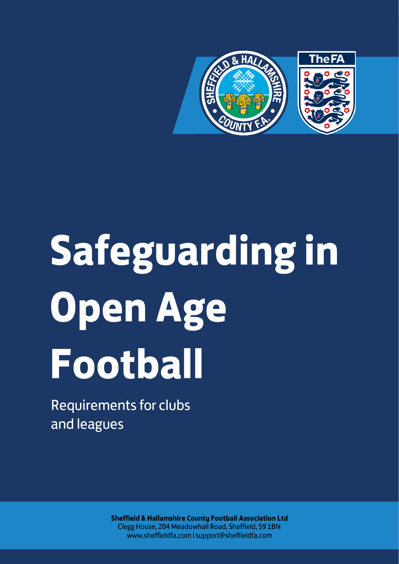

## **Safeguarding in Open Age** Football

Requirements for clubs and leagues

> **Sheffield & Hallamshire County Football Association Ltd** Clegg House, 204 Meadowhall Road, Sheffield, S9 1BN www.sheffieldfa.com | support@sheffieldfa.com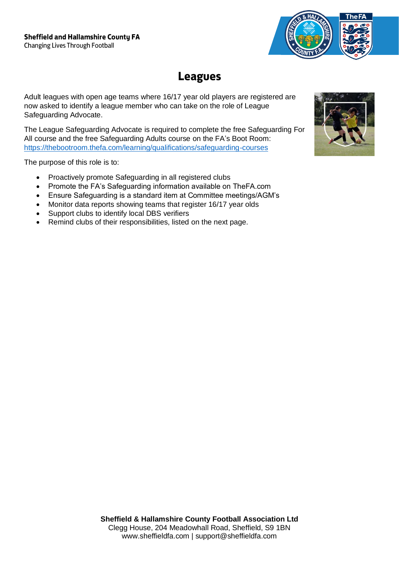

## **Leagues**

Adult leagues with open age teams where 16/17 year old players are registered are now asked to identify a league member who can take on the role of League Safeguarding Advocate.

The League Safeguarding Advocate is required to complete the free Safeguarding For All course and the free Safeguarding Adults course on the FA's Boot Room: <https://thebootroom.thefa.com/learning/qualifications/safeguarding-courses>

The purpose of this role is to:

- Proactively promote Safeguarding in all registered clubs
- Promote the FA's Safeguarding information available on TheFA.com
- Ensure Safeguarding is a standard item at Committee meetings/AGM's
- Monitor data reports showing teams that register 16/17 year olds
- Support clubs to identify local DBS verifiers
- Remind clubs of their responsibilities, listed on the next page.